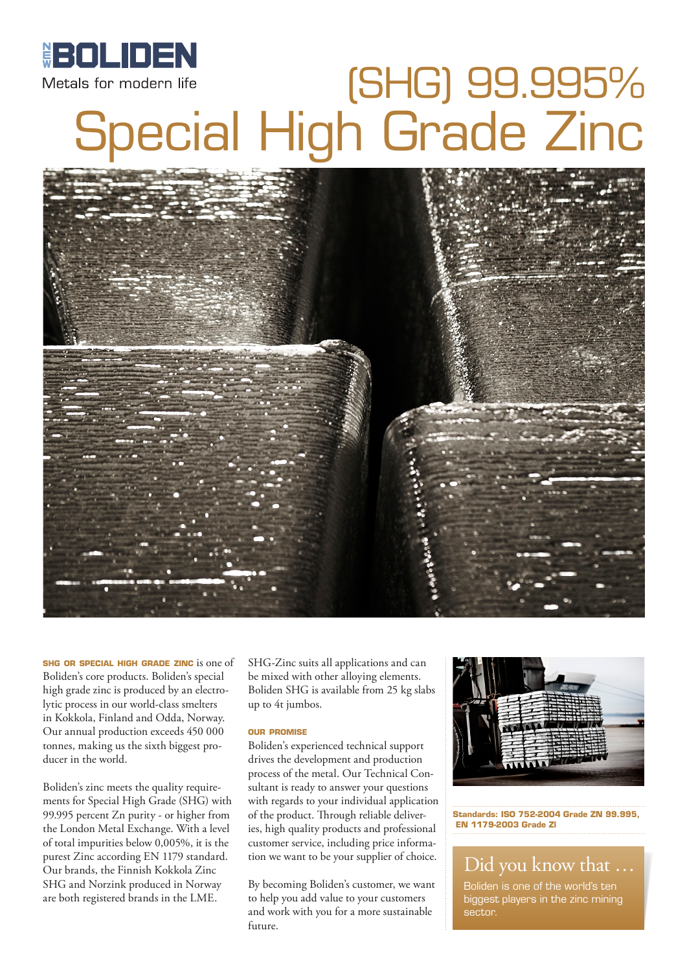

# (SHG) 99.995% Special High Grade Zinc



**shg or special high grade zinc** is one of Boliden's core products. Boliden's special high grade zinc is produced by an electrolytic process in our world-class smelters in Kokkola, Finland and Odda, Norway. Our annual production exceeds 450 000 tonnes, making us the sixth biggest producer in the world.

Boliden's zinc meets the quality requirements for Special High Grade (SHG) with 99.995 percent Zn purity - or higher from the London Metal Exchange. With a level of total impurities below 0,005%, it is the purest Zinc according EN 1179 standard. Our brands, the Finnish Kokkola Zinc SHG and Norzink produced in Norway are both registered brands in the LME.

SHG-Zinc suits all applications and can be mixed with other alloying elements. Boliden SHG is available from 25 kg slabs up to 4t jumbos.

#### **our promise**

Boliden's experienced technical support drives the development and production process of the metal. Our Technical Consultant is ready to answer your questions with regards to your individual application of the product. Through reliable deliveries, high quality products and professional customer service, including price information we want to be your supplier of choice.

By becoming Boliden's customer, we want to help you add value to your customers and work with you for a more sustainable future.



**Standards: ISO 752-2004 Grade ZN 99.995, EN 1179-2003 Grade Zl**

#### Did you know that …

Boliden is one of the world's ten biggest players in the zinc mining sector.